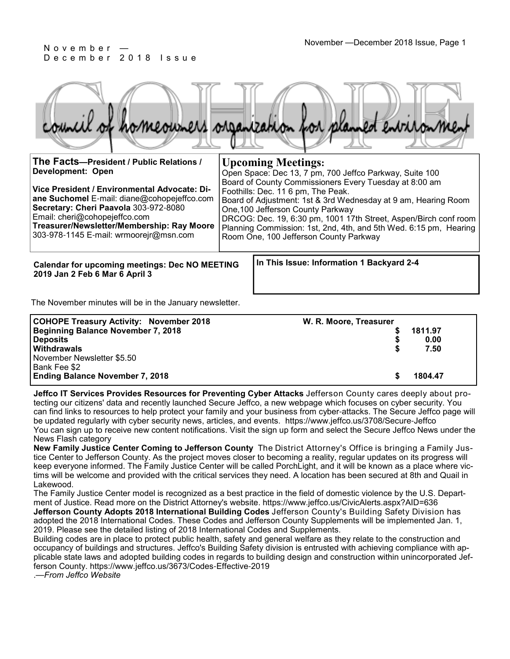

| The Facts-President / Public Relations /<br>Development: Open<br>Vice President / Environmental Advocate: Di-<br>ane Suchomel E-mail: diane@cohopejeffco.com<br>Secretary: Cheri Paavola 303-972-8080<br>Email: cheri@cohopejeffco.com<br>Treasurer/Newsletter/Membership: Ray Moore<br>303-978-1145 E-mail: wrmoorejr@msn.com | <b>Upcoming Meetings:</b><br>Open Space: Dec 13, 7 pm, 700 Jeffco Parkway, Suite 100<br>Board of County Commissioners Every Tuesday at 8:00 am<br>Foothills: Dec. 11 6 pm, The Peak.<br>Board of Adjustment: 1st & 3rd Wednesday at 9 am, Hearing Room<br>One, 100 Jefferson County Parkway<br>DRCOG: Dec. 19, 6:30 pm, 1001 17th Street, Aspen/Birch conf room<br>Planning Commission: 1st, 2nd, 4th, and 5th Wed. 6:15 pm, Hearing<br>Room One, 100 Jefferson County Parkway |
|--------------------------------------------------------------------------------------------------------------------------------------------------------------------------------------------------------------------------------------------------------------------------------------------------------------------------------|--------------------------------------------------------------------------------------------------------------------------------------------------------------------------------------------------------------------------------------------------------------------------------------------------------------------------------------------------------------------------------------------------------------------------------------------------------------------------------|
| <b>Calendar for upcoming meetings: Dec NO MEETING</b>                                                                                                                                                                                                                                                                          | In This Issue: Information 1 Backyard 2-4                                                                                                                                                                                                                                                                                                                                                                                                                                      |

**2019 Jan 2 Feb 6 Mar 6 April 3**

The November minutes will be in the January newsletter.

| <b>COHOPE Treasury Activity: November 2018</b> | W. R. Moore, Treasurer |         |
|------------------------------------------------|------------------------|---------|
| Beginning Balance November 7, 2018             |                        | 1811.97 |
| <b>Deposits</b>                                |                        | 0.00    |
| <b>Withdrawals</b>                             |                        | 7.50    |
| November Newsletter \$5.50                     |                        |         |
| Bank Fee \$2                                   |                        |         |
| <b>Ending Balance November 7, 2018</b>         |                        | 1804.47 |

**Jeffco IT Services Provides Resources for Preventing Cyber Attacks** Jefferson County cares deeply about protecting our citizens' data and recently launched Secure Jeffco, a new webpage which focuses on cyber security. You can find links to resources to help protect your family and your business from cyber-attacks. The Secure Jeffco page will be updated regularly with cyber security news, articles, and events. https://www.jeffco.us/3708/Secure-Jeffco You can sign up to receive new content notifications. Visit the sign up form and select the Secure Jeffco News under the News Flash category

**New Family Justice Center Coming to Jefferson County** The District Attorney's Office is bringing a Family Justice Center to Jefferson County. As the project moves closer to becoming a reality, regular updates on its progress will keep everyone informed. The Family Justice Center will be called PorchLight, and it will be known as a place where victims will be welcome and provided with the critical services they need. A location has been secured at 8th and Quail in Lakewood.

The Family Justice Center model is recognized as a best practice in the field of domestic violence by the U.S. Department of Justice. Read more on the District Attorney's website. https://www.jeffco.us/CivicAlerts.aspx?AID=636 **Jefferson County Adopts 2018 International Building Codes** Jefferson County's Building Safety Division has adopted the 2018 International Codes. These Codes and Jefferson County Supplements will be implemented Jan. 1, 2019. Please see the detailed listing of 2018 International Codes and Supplements.

Building codes are in place to protect public health, safety and general welfare as they relate to the construction and occupancy of buildings and structures. Jeffco's Building Safety division is entrusted with achieving compliance with applicable state laws and adopted building codes in regards to building design and construction within unincorporated Jefferson County. https://www.jeffco.us/3673/Codes-Effective-2019

.—*From Jeffco Website*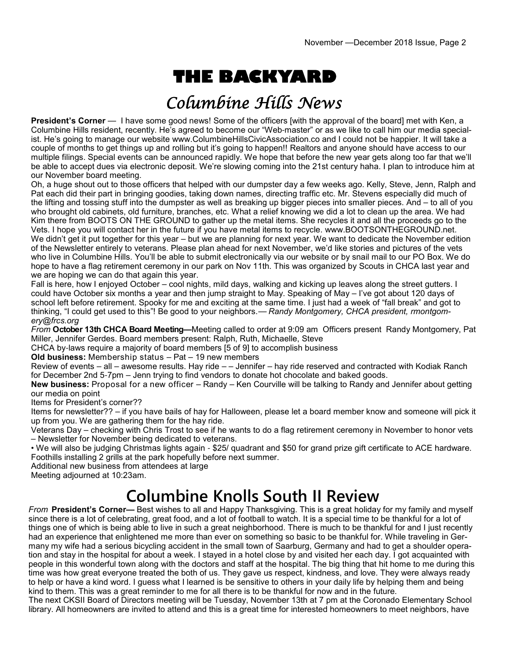# **THE BACKYARD**

## Columbine Hills News

**President's Corner** — I have some good news! Some of the officers [with the approval of the board] met with Ken, a Columbine Hills resident, recently. He's agreed to become our "Web-master" or as we like to call him our media specialist. He's going to manage our website www.ColumbineHillsCivicAssociation.co and I could not be happier. It will take a couple of months to get things up and rolling but it's going to happen!! Realtors and anyone should have access to our multiple filings. Special events can be announced rapidly. We hope that before the new year gets along too far that we'll be able to accept dues via electronic deposit. We're slowing coming into the 21st century haha. I plan to introduce him at our November board meeting.

Oh, a huge shout out to those officers that helped with our dumpster day a few weeks ago. Kelly, Steve, Jenn, Ralph and Pat each did their part in bringing goodies, taking down names, directing traffic etc. Mr. Stevens especially did much of the lifting and tossing stuff into the dumpster as well as breaking up bigger pieces into smaller pieces. And – to all of you who brought old cabinets, old furniture, branches, etc. What a relief knowing we did a lot to clean up the area. We had Kim there from BOOTS ON THE GROUND to gather up the metal items. She recycles it and all the proceeds go to the Vets. I hope you will contact her in the future if you have metal items to recycle. www.BOOTSONTHEGROUND.net. We didn't get it put together for this year – but we are planning for next year. We want to dedicate the November edition of the Newsletter entirely to veterans. Please plan ahead for next November, we'd like stories and pictures of the vets who live in Columbine Hills. You'll be able to submit electronically via our website or by snail mail to our PO Box. We do hope to have a flag retirement ceremony in our park on Nov 11th. This was organized by Scouts in CHCA last year and we are hoping we can do that again this year.

Fall is here, how I enjoyed October – cool nights, mild days, walking and kicking up leaves along the street gutters. I could have October six months a year and then jump straight to May. Speaking of May – I've got about 120 days of school left before retirement. Spooky for me and exciting at the same time. I just had a week of "fall break" and got to thinking, "I could get used to this"! Be good to your neighbors.— *Randy Montgomery, CHCA president, rmontgomery@frcs.org*

*From* **October 13th CHCA Board Meeting—**Meeting called to order at 9:09 am Officers present Randy Montgomery, Pat Miller, Jennifer Gerdes. Board members present: Ralph, Ruth, Michaelle, Steve

CHCA by-laws require a majority of board members [5 of 9] to accomplish business

**Old business:** Membership status – Pat – 19 new members

Review of events – all – awesome results. Hay ride – – Jennifer – hay ride reserved and contracted with Kodiak Ranch for December 2nd 5-7pm – Jenn trying to find vendors to donate hot chocolate and baked goods.

**New business:** Proposal for a new officer – Randy – Ken Courville will be talking to Randy and Jennifer about getting our media on point

Items for President's corner??

Items for newsletter?? – if you have bails of hay for Halloween, please let a board member know and someone will pick it up from you. We are gathering them for the hay ride.

Veterans Day – checking with Chris Trost to see if he wants to do a flag retirement ceremony in November to honor vets – Newsletter for November being dedicated to veterans.

• We will also be judging Christmas lights again - \$25/ quadrant and \$50 for grand prize gift certificate to ACE hardware. Foothills installing 2 grills at the park hopefully before next summer.

Additional new business from attendees at large

Meeting adjourned at 10:23am.

## **Columbine Knolls South II Review**

*From* **President's Corner—** Best wishes to all and Happy Thanksgiving. This is a great holiday for my family and myself since there is a lot of celebrating, great food, and a lot of football to watch. It is a special time to be thankful for a lot of things one of which is being able to live in such a great neighborhood. There is much to be thankful for and I just recently had an experience that enlightened me more than ever on something so basic to be thankful for. While traveling in Germany my wife had a serious bicycling accident in the small town of Saarburg, Germany and had to get a shoulder operation and stay in the hospital for about a week. I stayed in a hotel close by and visited her each day. I got acquainted with people in this wonderful town along with the doctors and staff at the hospital. The big thing that hit home to me during this time was how great everyone treated the both of us. They gave us respect, kindness, and love. They were always ready to help or have a kind word. I guess what I learned is be sensitive to others in your daily life by helping them and being kind to them. This was a great reminder to me for all there is to be thankful for now and in the future.

The next CKSII Board of Directors meeting will be Tuesday, November 13th at 7 pm at the Coronado Elementary School library. All homeowners are invited to attend and this is a great time for interested homeowners to meet neighbors, have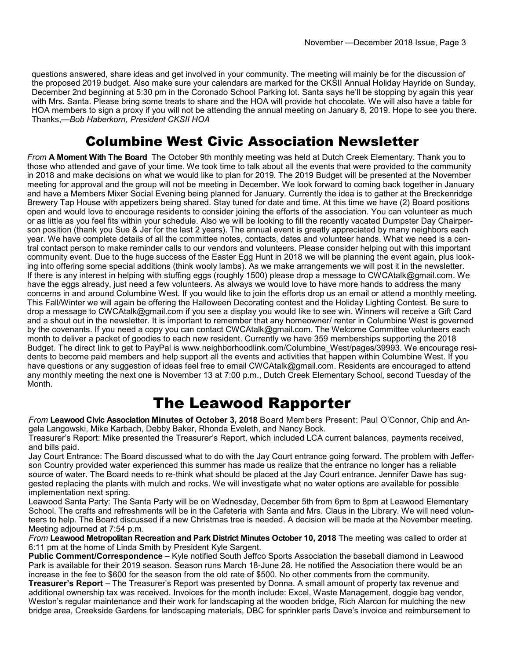questions answered, share ideas and get involved in your community. The meeting will mainly be for the discussion of the proposed 2019 budget. Also make sure your calendars are marked for the CKSII Annual Holiday Hayride on Sunday, December 2nd beginning at 5:30 pm in the Coronado School Parking lot. Santa says he'll be stopping by again this year with Mrs. Santa. Please bring some treats to share and the HOA will provide hot chocolate. We will also have a table for HOA members to sign a proxy if you will not be attending the annual meeting on January 8, 2019. Hope to see you there. Thanks,—*Bob Haberkorn, President CKSII HOA*

#### Columbine West Civic Association Newsletter

*From* **A Moment With The Board** The October 9th monthly meeting was held at Dutch Creek Elementary. Thank you to those who attended and gave of your time. We took time to talk about all the events that were provided to the community in 2018 and make decisions on what we would like to plan for 2019. The 2019 Budget will be presented at the November meeting for approval and the group will not be meeting in December. We look forward to coming back together in January and have a Members Mixer Social Evening being planned for January. Currently the idea is to gather at the Breckenridge Brewery Tap House with appetizers being shared. Stay tuned for date and time. At this time we have (2) Board positions open and would love to encourage residents to consider joining the efforts of the association. You can volunteer as much or as little as you feel fits within your schedule. Also we will be looking to fill the recently vacated Dumpster Day Chairperson position (thank you Sue & Jer for the last 2 years). The annual event is greatly appreciated by many neighbors each year. We have complete details of all the committee notes, contacts, dates and volunteer hands. What we need is a central contact person to make reminder calls to our vendors and volunteers. Please consider helping out with this important community event. Due to the huge success of the Easter Egg Hunt in 2018 we will be planning the event again, plus looking into offering some special additions (think wooly lambs). As we make arrangements we will post it in the newsletter. If there is any interest in helping with stuffing eggs (roughly 1500) please drop a message to CWCAtalk@gmail.com. We have the eggs already, just need a few volunteers. As always we would love to have more hands to address the many concerns in and around Columbine West. If you would like to join the efforts drop us an email or attend a monthly meeting. This Fall/Winter we will again be offering the Halloween Decorating contest and the Holiday Lighting Contest. Be sure to drop a message to CWCAtalk@gmail.com if you see a display you would like to see win. Winners will receive a Gift Card and a shout out in the newsletter. It is important to remember that any homeowner/ renter in Columbine West is governed by the covenants. If you need a copy you can contact CWCAtalk@gmail.com. The Welcome Committee volunteers each month to deliver a packet of goodies to each new resident. Currently we have 359 memberships supporting the 2018 Budget. The direct link to get to PayPal is www.neighborhoodlink.com/Columbine\_West/pages/39993. We encourage residents to become paid members and help support all the events and activities that happen within Columbine West. If you have questions or any suggestion of ideas feel free to email CWCAtalk@gmail.com. Residents are encouraged to attend any monthly meeting the next one is November 13 at 7:00 p.m., Dutch Creek Elementary School, second Tuesday of the Month.

### The Leawood Rapporter

*From* **Leawood Civic Association Minutes of October 3, 2018** Board Members Present: Paul O'Connor, Chip and Angela Langowski, Mike Karbach, Debby Baker, Rhonda Eveleth, and Nancy Bock.

Treasurer's Report: Mike presented the Treasurer's Report, which included LCA current balances, payments received, and bills paid.

Jay Court Entrance: The Board discussed what to do with the Jay Court entrance going forward. The problem with Jefferson Country provided water experienced this summer has made us realize that the entrance no longer has a reliable source of water. The Board needs to re-think what should be placed at the Jay Court entrance. Jennifer Dawe has suggested replacing the plants with mulch and rocks. We will investigate what no water options are available for possible implementation next spring.

Leawood Santa Party: The Santa Party will be on Wednesday, December 5th from 6pm to 8pm at Leawood Elementary School. The crafts and refreshments will be in the Cafeteria with Santa and Mrs. Claus in the Library. We will need volunteers to help. The Board discussed if a new Christmas tree is needed. A decision will be made at the November meeting. Meeting adjourned at 7:54 p.m.

*From* **Leawood Metropolitan Recreation and Park District Minutes October 10, 2018** The meeting was called to order at 6:11 pm at the home of Linda Smith by President Kyle Sargent.

**Public Comment/Correspondence** – Kyle notified South Jeffco Sports Association the baseball diamond in Leawood Park is available for their 2019 season. Season runs March 18-June 28. He notified the Association there would be an increase in the fee to \$600 for the season from the old rate of \$500. No other comments from the community.

**Treasurer's Report** – The Treasurer's Report was presented by Donna. A small amount of property tax revenue and additional ownership tax was received. Invoices for the month include: Excel, Waste Management, doggie bag vendor, Weston's regular maintenance and their work for landscaping at the wooden bridge, Rich Alarcon for mulching the new bridge area, Creekside Gardens for landscaping materials, DBC for sprinkler parts Dave's invoice and reimbursement to